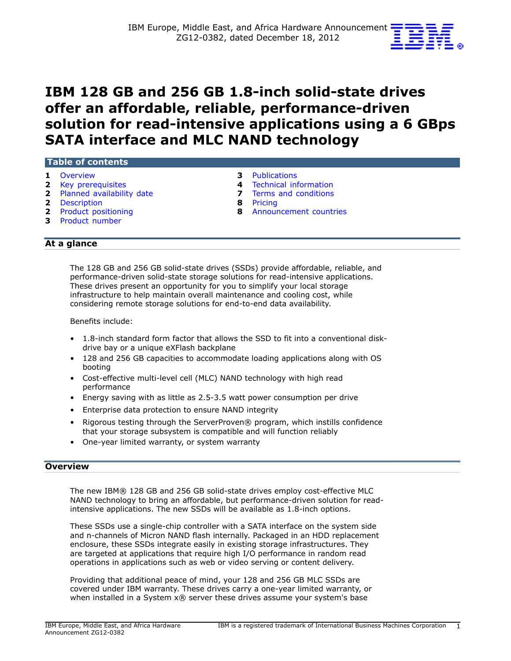

# **IBM 128 GB and 256 GB 1.8-inch solid-state drives offer an affordable, reliable, performance-driven solution for read-intensive applications using a 6 GBps SATA interface and MLC NAND technology**

### **Table of contents**

- 
- **2** [Key prerequisites](#page-1-0) **4**
- **2** [Planned availability date](#page-1-1) **7 7** [Terms and conditions](#page-6-0) **2** Description
- **2** Description
- 
- **3** [Product number](#page-2-1)
- 
- **1** [Overview](#page-0-0) **3** Publications<br> **2** Key prerequisites **1 4** Technical information
	-
	-
- **2** [Product positioning](#page-1-3) **8** [Announcement countries](#page-7-1)

# **At a glance**

The 128 GB and 256 GB solid-state drives (SSDs) provide affordable, reliable, and performance-driven solid-state storage solutions for read-intensive applications. These drives present an opportunity for you to simplify your local storage infrastructure to help maintain overall maintenance and cooling cost, while considering remote storage solutions for end-to-end data availability.

Benefits include:

- 1.8-inch standard form factor that allows the SSD to fit into a conventional diskdrive bay or a unique eXFlash backplane
- 128 and 256 GB capacities to accommodate loading applications along with OS booting
- Cost-effective multi-level cell (MLC) NAND technology with high read performance
- Energy saving with as little as 2.5-3.5 watt power consumption per drive
- Enterprise data protection to ensure NAND integrity
- Rigorous testing through the ServerProven® program, which instills confidence that your storage subsystem is compatible and will function reliably
- One-year limited warranty, or system warranty

# <span id="page-0-0"></span>**Overview**

The new IBM® 128 GB and 256 GB solid-state drives employ cost-effective MLC NAND technology to bring an affordable, but performance-driven solution for readintensive applications. The new SSDs will be available as 1.8-inch options.

These SSDs use a single-chip controller with a SATA interface on the system side and n-channels of Micron NAND flash internally. Packaged in an HDD replacement enclosure, these SSDs integrate easily in existing storage infrastructures. They are targeted at applications that require high I/O performance in random read operations in applications such as web or video serving or content delivery.

Providing that additional peace of mind, your 128 and 256 GB MLC SSDs are covered under IBM warranty. These drives carry a one-year limited warranty, or when installed in a System x® server these drives assume your system's base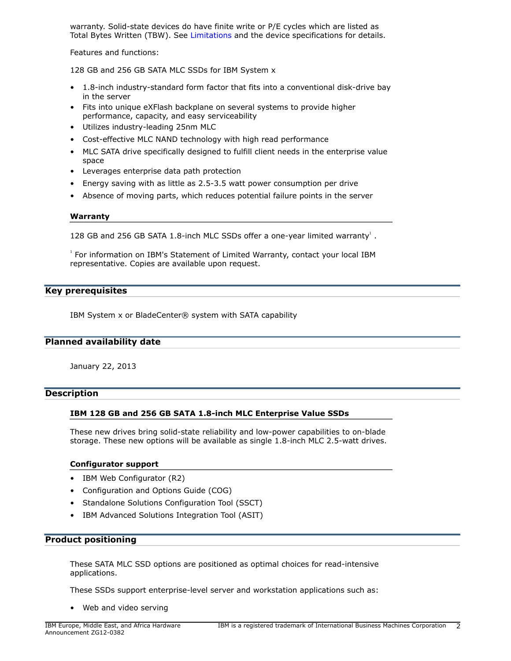warranty. Solid-state devices do have finite write or P/E cycles which are listed as Total Bytes Written (TBW). See [Limitations](#page-4-0) and the device specifications for details.

Features and functions:

128 GB and 256 GB SATA MLC SSDs for IBM System x

- 1.8-inch industry-standard form factor that fits into a conventional disk-drive bay in the server
- Fits into unique eXFlash backplane on several systems to provide higher performance, capacity, and easy serviceability
- Utilizes industry-leading 25nm MLC
- Cost-effective MLC NAND technology with high read performance
- MLC SATA drive specifically designed to fulfill client needs in the enterprise value space
- Leverages enterprise data path protection
- Energy saving with as little as 2.5-3.5 watt power consumption per drive
- Absence of moving parts, which reduces potential failure points in the server

### **Warranty**

128 GB and 256 GB SATA 1.8-inch MLC SSDs offer a one-year limited warranty<sup>1</sup>.

<sup>1</sup> For information on IBM's Statement of Limited Warranty, contact your local IBM representative. Copies are available upon request.

### <span id="page-1-0"></span>**Key prerequisites**

IBM System x or BladeCenter® system with SATA capability

### <span id="page-1-1"></span>**Planned availability date**

January 22, 2013

# <span id="page-1-2"></span>**Description**

### **IBM 128 GB and 256 GB SATA 1.8-inch MLC Enterprise Value SSDs**

These new drives bring solid-state reliability and low-power capabilities to on-blade storage. These new options will be available as single 1.8-inch MLC 2.5-watt drives.

### **Configurator support**

- IBM Web Configurator (R2)
- Configuration and Options Guide (COG)
- Standalone Solutions Configuration Tool (SSCT)
- IBM Advanced Solutions Integration Tool (ASIT)

### <span id="page-1-3"></span>**Product positioning**

These SATA MLC SSD options are positioned as optimal choices for read-intensive applications.

These SSDs support enterprise-level server and workstation applications such as:

• Web and video serving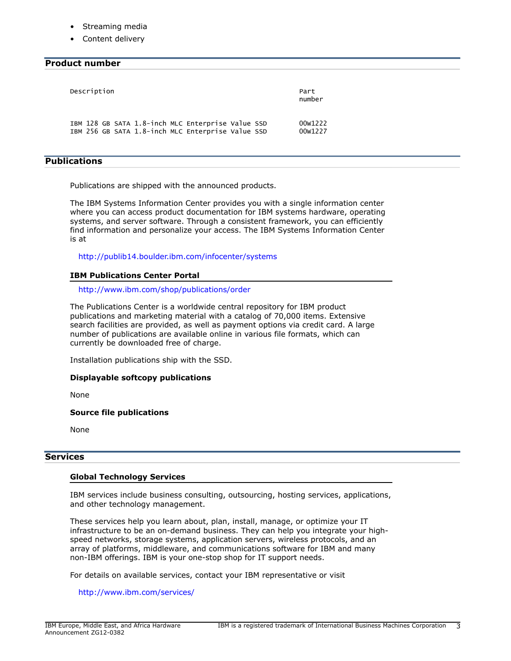- Streaming media
- Content delivery

# <span id="page-2-1"></span>**Product number**

| Description                                       | Part<br>number |
|---------------------------------------------------|----------------|
| IBM 128 GB SATA 1.8-inch MLC Enterprise Value SSD | 00w1222        |
| IBM 256 GB SATA 1.8-inch MLC Enterprise Value SSD | 00w1227        |

### <span id="page-2-0"></span>**Publications**

Publications are shipped with the announced products.

The IBM Systems Information Center provides you with a single information center where you can access product documentation for IBM systems hardware, operating systems, and server software. Through a consistent framework, you can efficiently find information and personalize your access. The IBM Systems Information Center is at

<http://publib14.boulder.ibm.com/infocenter/systems>

### **IBM Publications Center Portal**

### <http://www.ibm.com/shop/publications/order>

The Publications Center is a worldwide central repository for IBM product publications and marketing material with a catalog of 70,000 items. Extensive search facilities are provided, as well as payment options via credit card. A large number of publications are available online in various file formats, which can currently be downloaded free of charge.

Installation publications ship with the SSD.

### **Displayable softcopy publications**

None

**Source file publications**

None

### **Services**

### **Global Technology Services**

IBM services include business consulting, outsourcing, hosting services, applications, and other technology management.

These services help you learn about, plan, install, manage, or optimize your IT infrastructure to be an on-demand business. They can help you integrate your highspeed networks, storage systems, application servers, wireless protocols, and an array of platforms, middleware, and communications software for IBM and many non-IBM offerings. IBM is your one-stop shop for IT support needs.

For details on available services, contact your IBM representative or visit

<http://www.ibm.com/services/>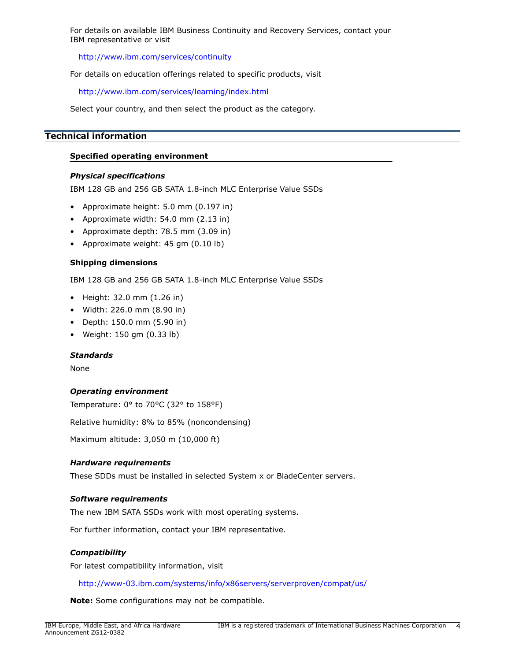For details on available IBM Business Continuity and Recovery Services, contact your IBM representative or visit

<http://www.ibm.com/services/continuity>

For details on education offerings related to specific products, visit

<http://www.ibm.com/services/learning/index.html>

Select your country, and then select the product as the category.

# <span id="page-3-0"></span>**Technical information**

### **Specified operating environment**

### *Physical specifications*

IBM 128 GB and 256 GB SATA 1.8-inch MLC Enterprise Value SSDs

- Approximate height: 5.0 mm (0.197 in)
- Approximate width: 54.0 mm (2.13 in)
- Approximate depth: 78.5 mm (3.09 in)
- Approximate weight: 45 gm (0.10 lb)

### **Shipping dimensions**

IBM 128 GB and 256 GB SATA 1.8-inch MLC Enterprise Value SSDs

- Height: 32.0 mm (1.26 in)
- Width: 226.0 mm (8.90 in)
- Depth: 150.0 mm (5.90 in)
- Weight: 150 gm (0.33 lb)

### *Standards*

None

### *Operating environment*

Temperature: 0° to 70°C (32° to 158°F)

Relative humidity: 8% to 85% (noncondensing)

Maximum altitude: 3,050 m (10,000 ft)

# *Hardware requirements*

These SDDs must be installed in selected System x or BladeCenter servers.

### *Software requirements*

The new IBM SATA SSDs work with most operating systems.

For further information, contact your IBM representative.

### *Compatibility*

For latest compatibility information, visit

<http://www-03.ibm.com/systems/info/x86servers/serverproven/compat/us/>

**Note:** Some configurations may not be compatible.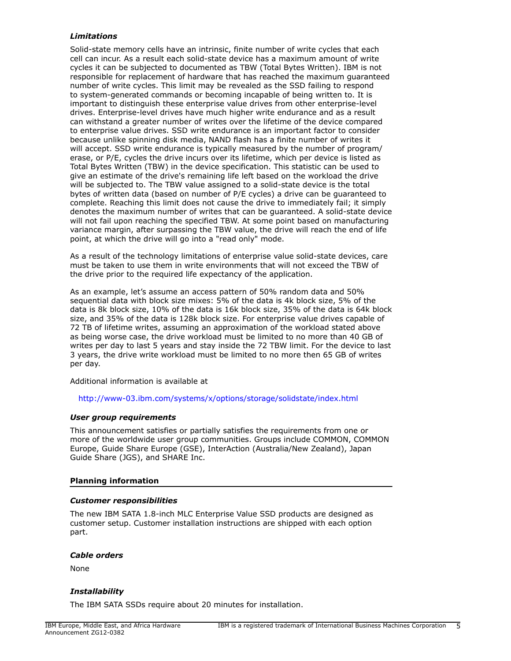# <span id="page-4-0"></span>*Limitations*

Solid-state memory cells have an intrinsic, finite number of write cycles that each cell can incur. As a result each solid-state device has a maximum amount of write cycles it can be subjected to documented as TBW (Total Bytes Written). IBM is not responsible for replacement of hardware that has reached the maximum guaranteed number of write cycles. This limit may be revealed as the SSD failing to respond to system-generated commands or becoming incapable of being written to. It is important to distinguish these enterprise value drives from other enterprise-level drives. Enterprise-level drives have much higher write endurance and as a result can withstand a greater number of writes over the lifetime of the device compared to enterprise value drives. SSD write endurance is an important factor to consider because unlike spinning disk media, NAND flash has a finite number of writes it will accept. SSD write endurance is typically measured by the number of program/ erase, or P/E, cycles the drive incurs over its lifetime, which per device is listed as Total Bytes Written (TBW) in the device specification. This statistic can be used to give an estimate of the drive's remaining life left based on the workload the drive will be subjected to. The TBW value assigned to a solid-state device is the total bytes of written data (based on number of P/E cycles) a drive can be guaranteed to complete. Reaching this limit does not cause the drive to immediately fail; it simply denotes the maximum number of writes that can be guaranteed. A solid-state device will not fail upon reaching the specified TBW. At some point based on manufacturing variance margin, after surpassing the TBW value, the drive will reach the end of life point, at which the drive will go into a "read only" mode.

As a result of the technology limitations of enterprise value solid-state devices, care must be taken to use them in write environments that will not exceed the TBW of the drive prior to the required life expectancy of the application.

As an example, let's assume an access pattern of 50% random data and 50% sequential data with block size mixes: 5% of the data is 4k block size, 5% of the data is 8k block size, 10% of the data is 16k block size, 35% of the data is 64k block size, and 35% of the data is 128k block size. For enterprise value drives capable of 72 TB of lifetime writes, assuming an approximation of the workload stated above as being worse case, the drive workload must be limited to no more than 40 GB of writes per day to last 5 years and stay inside the 72 TBW limit. For the device to last 3 years, the drive write workload must be limited to no more then 65 GB of writes per day.

Additional information is available at

### <http://www-03.ibm.com/systems/x/options/storage/solidstate/index.html>

### *User group requirements*

This announcement satisfies or partially satisfies the requirements from one or more of the worldwide user group communities. Groups include COMMON, COMMON Europe, Guide Share Europe (GSE), InterAction (Australia/New Zealand), Japan Guide Share (JGS), and SHARE Inc.

### **Planning information**

### *Customer responsibilities*

The new IBM SATA 1.8-inch MLC Enterprise Value SSD products are designed as customer setup. Customer installation instructions are shipped with each option part.

### *Cable orders*

None

### *Installability*

The IBM SATA SSDs require about 20 minutes for installation.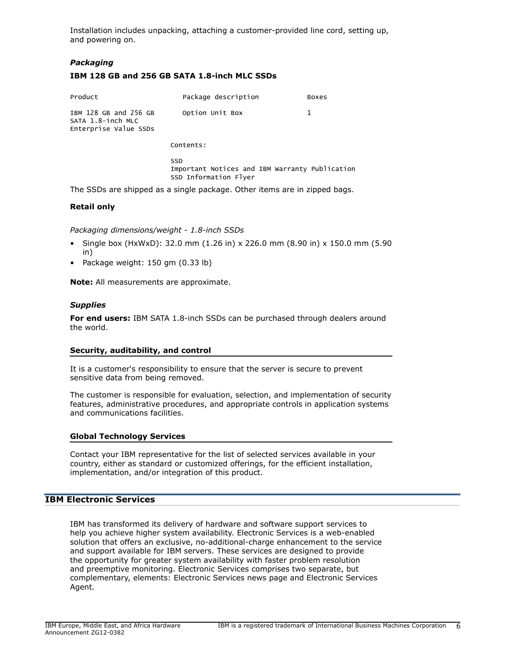Installation includes unpacking, attaching a customer-provided line cord, setting up, and powering on.

# *Packaging*

# **IBM 128 GB and 256 GB SATA 1.8-inch MLC SSDs**

| Product                                                             | Package description                                                                   | Boxes |
|---------------------------------------------------------------------|---------------------------------------------------------------------------------------|-------|
| IBM 128 GB and 256 GB<br>SATA 1.8-inch MLC<br>Enterprise Value SSDs | Option Unit Box                                                                       | 1     |
|                                                                     | Contents:                                                                             |       |
|                                                                     | <b>SSD</b><br>Important Notices and IBM Warranty Publication<br>SSD Information Flyer |       |

The SSDs are shipped as a single package. Other items are in zipped bags.

### **Retail only**

*Packaging dimensions/weight - 1.8-inch SSDs*

- Single box (HxWxD): 32.0 mm (1.26 in) x 226.0 mm (8.90 in) x 150.0 mm (5.90 in)
- Package weight: 150 gm (0.33 lb)

**Note:** All measurements are approximate.

### *Supplies*

**For end users:** IBM SATA 1.8-inch SSDs can be purchased through dealers around the world.

### **Security, auditability, and control**

It is a customer's responsibility to ensure that the server is secure to prevent sensitive data from being removed.

The customer is responsible for evaluation, selection, and implementation of security features, administrative procedures, and appropriate controls in application systems and communications facilities.

### **Global Technology Services**

Contact your IBM representative for the list of selected services available in your country, either as standard or customized offerings, for the efficient installation, implementation, and/or integration of this product.

### **IBM Electronic Services**

IBM has transformed its delivery of hardware and software support services to help you achieve higher system availability. Electronic Services is a web-enabled solution that offers an exclusive, no-additional-charge enhancement to the service and support available for IBM servers. These services are designed to provide the opportunity for greater system availability with faster problem resolution and preemptive monitoring. Electronic Services comprises two separate, but complementary, elements: Electronic Services news page and Electronic Services Agent.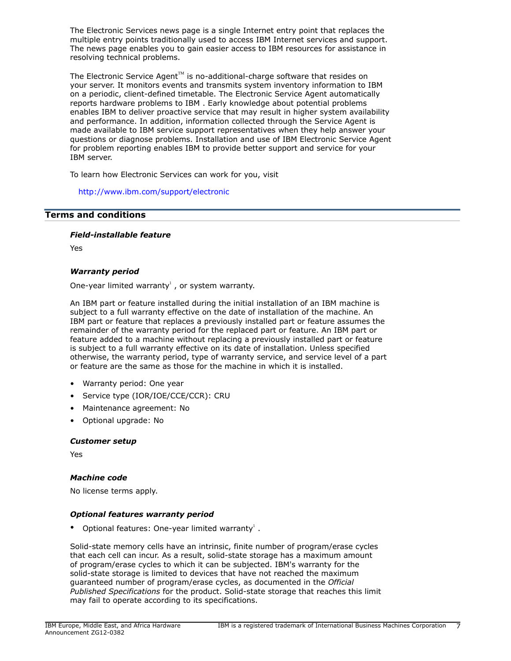The Electronic Services news page is a single Internet entry point that replaces the multiple entry points traditionally used to access IBM Internet services and support. The news page enables you to gain easier access to IBM resources for assistance in resolving technical problems.

The Electronic Service Agent $T^M$  is no-additional-charge software that resides on your server. It monitors events and transmits system inventory information to IBM on a periodic, client-defined timetable. The Electronic Service Agent automatically reports hardware problems to IBM . Early knowledge about potential problems enables IBM to deliver proactive service that may result in higher system availability and performance. In addition, information collected through the Service Agent is made available to IBM service support representatives when they help answer your questions or diagnose problems. Installation and use of IBM Electronic Service Agent for problem reporting enables IBM to provide better support and service for your IBM server.

To learn how Electronic Services can work for you, visit

<http://www.ibm.com/support/electronic>

# <span id="page-6-0"></span>**Terms and conditions**

*Field-installable feature*

Yes

# *Warranty period*

One-year limited warranty $^1$ , or system warranty.

An IBM part or feature installed during the initial installation of an IBM machine is subject to a full warranty effective on the date of installation of the machine. An IBM part or feature that replaces a previously installed part or feature assumes the remainder of the warranty period for the replaced part or feature. An IBM part or feature added to a machine without replacing a previously installed part or feature is subject to a full warranty effective on its date of installation. Unless specified otherwise, the warranty period, type of warranty service, and service level of a part or feature are the same as those for the machine in which it is installed.

- Warranty period: One year
- Service type (IOR/IOE/CCE/CCR): CRU
- Maintenance agreement: No
- Optional upgrade: No

### *Customer setup*

Yes

### *Machine code*

No license terms apply.

# *Optional features warranty period*

• Optional features: One-year limited warranty<sup>1</sup>.

Solid-state memory cells have an intrinsic, finite number of program/erase cycles that each cell can incur. As a result, solid-state storage has a maximum amount of program/erase cycles to which it can be subjected. IBM's warranty for the solid-state storage is limited to devices that have not reached the maximum guaranteed number of program/erase cycles, as documented in the *Official Published Specifications* for the product. Solid-state storage that reaches this limit may fail to operate according to its specifications.